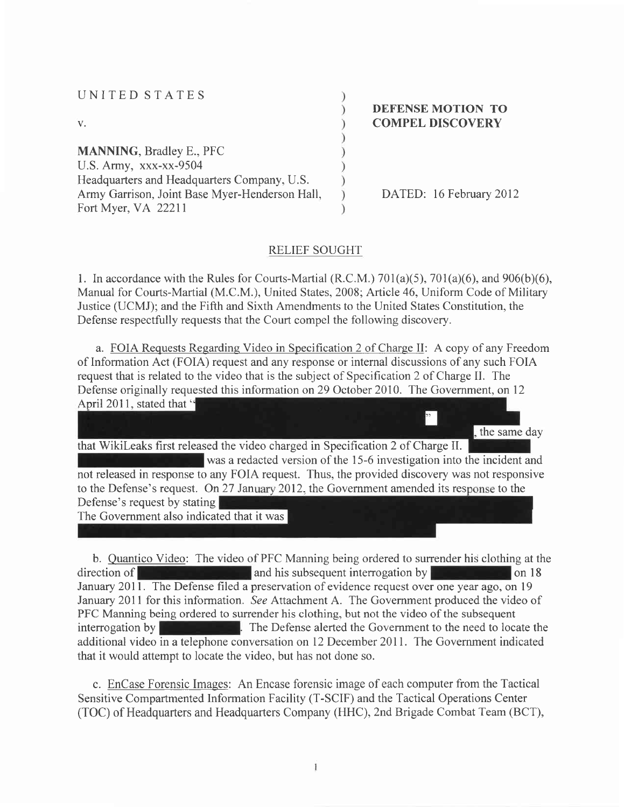| UNITED STATES                                  |                                                     |
|------------------------------------------------|-----------------------------------------------------|
| V.                                             | <b>DEFENSE MOTION TO</b><br><b>COMPEL DISCOVERY</b> |
| <b>MANNING, Bradley E., PFC</b>                |                                                     |
| U.S. Army, xxx-xx-9504                         |                                                     |
| Headquarters and Headquarters Company, U.S.    |                                                     |
| Army Garrison, Joint Base Myer-Henderson Hall, | DATED: 16 February 2012                             |
| Fort Myer, VA 22211                            |                                                     |

### RELIEF SOUGHT

1. In accordance with the Rules for Courts-Martial (R.C.M.)  $701(a)(5)$ ,  $701(a)(6)$ , and  $906(b)(6)$ , Manual for Courts-Martial (M.C.M.), United States, 2008; Article 46, Uniform Code of Military Justice (UCMJ); and the Fifth and Sixth Amendments to the United States Constitution, the Defense respectfully requests that the Court compel the following discovery.

a. FOIA Requests Regarding Video in Specification 2 of Charqe II: A copy of any Freedom of Information Act (FOIA) request and any response or internal discussions of any such FOIA request that is related to the video that is the subject of Specification2 of Charge II. The Defense originally requested this information on 29 October 2010. The Government, on 12 April 2011, stated that "  $\overline{\phantom{a}}$ 

the same day that WikiLeaks first released the video charged in Specification 2 of Charge II. was a redacted version of the 15-6 investigation into the incident and not released in response to any FOIA request. Thus, the provided discovery was not responsive to the Defense's request. On 27 January 2012, the Government amended its response to the Defense's request by stating The Government also indicated that it was

b. Quantico Video: The video of PFC Manning being ordered to surrender his clothing at the  $\alpha$  direction of  $\alpha$  and his subsequent interrogation by  $\alpha$  and  $\alpha$  18 January 2011. The Defense filed a preservation of evidence request over one year ago, on 19 January 2011 for this information. See Attachment A. The Government produced the video of PFC Manning being ordered to surrender his clothing, but not the video of the subsequent interrogation by **EXECUTE:** The Defense alerted the Government to the need to locate the additional video in a telephone conversation on 12 December 201l. The Government indicated that it would attempt to locate the video, but has not done so.

c. EnCase Forensic Images: An Encase forensic image of each computer from the Tactical Sensitive Compartmented Information Facility (T-SCIF) and the Tactical Operations Center (TOC) of Headquarters and Headquarters Company (HHC), 2nd Brigade Combat Team (BCT),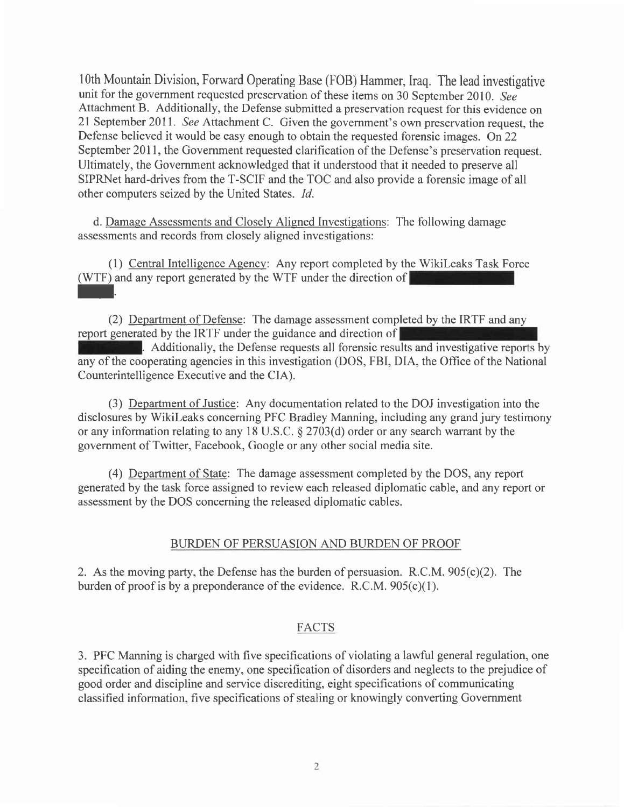lOth Mountain Division, Forward Operating Base (FOB) Hammer, Iraq. The lead investigative unit for the government requested preservation of these items on 30 September 2010. See Attachment B. Additionally, the Defense submitted a preservation request for this evidence on 2l September 2011. See Attachment C. Given the government's own preservation request, the Defense believed it would be easy enough to obtain the requested forensic images. On 22 September 2011, the Government requested clarification of the Defense's preservation request. Ultimately, the Government acknowledged that it understood that it needed to preserve all SIPRNet hard-drives from the T-SCIF and the TOC and also provide a forensic image of all other computers seized by the United States. 1d.

d. Damage Assessments and Closely Aligned Investigations: The following damage assessments and records from closely aligned investigations:

(1) Central Intelligence Agency: Any report completed by the WikiLeaks Task Force (WTF) and any report generated by the WTF under the direction of

(2) Department of Defense: The damage assessment completed by the IRTF and any report generated by the IRTF under the guidance and direction of

. Additionally, the Defense requests all forensic results and investigative reports by any of the cooperating agencies in this investigation (DOS, FBI, DIA, the Office of the National Counterintelligence Executive and the CIA).

(3) Department of Justice: Any documentation related to the DOJ investigation into the disclosures by Wikileaks concerning PFC Bradley Manning, including any grand jury testimony or any information relating to any l8 U.S.C. \$ 2703(d) order or any search warrant by the government of Twitter, Facebook, Google or any other social media site.

(4) Department of State: The damage assessment completed by the DOS, any report generated by the task force assigned to review each released diplomatic cable, and any report or assessment by the DOS concerning the released diplomatic cables.

## BURDEN OF PERSUASION AND BURDEN OF PROOF

2. As the moving party, the Defense has the burden of persuasion. R.C.M. 905(c)(2). The burden of proof is by a preponderance of the evidence. R.C.M.  $905(c)(1)$ .

## FACTS

3. PFC Manning is charged with five specifications of violating a lawful general regulation, one specification of aiding the enemy, one specification of disorders and neglects to the prejudice of good order and discipline and service discrediting, eight specifications of communicating classified information, five specifications of stealing or knowingly converting Government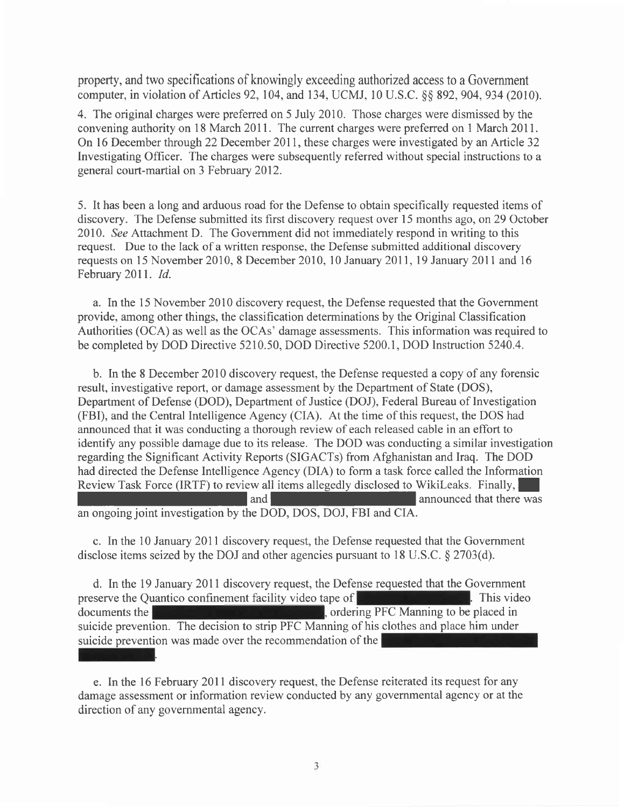property, and two specifications of knowingly exceeding authorized access to a Government computer, in violation of Articles 92,104, and 734, UCMJ, l0 U.S.C. \$\$ 892, 904,934 (2010).

4. The original charges were preferred on 5 July 2010. Those charges were dismissed by the convening authority on 18 March 20ll. The current charges were preferred on I March 201I. On l6 December through 22 December 201l, these charges were investigated by an Article 32 Investigating Officer. The charges were subsequently referred without special instructions to a general court-martial on 3 February 2012.

5. It has been a long and arduous road for the Defense to obtain specifically requested items of discovery. The Defense submitted its first discovery request over l5 months ago, on 29 October 2010. See Attachment D. The Government did not immediately respond in writing to this request. Due to the lack of a written response, the Defense submitted additional discovery requests on 15 November 2010, 8 December 2010, 10 January 2011, 19 January 2011 and 16 February 2011. Id.

a. In the 15 November 2010 discovery request, the Defense requested that the Government provide, among other things, the classification determinations by the Original Classification Authorities (OCA) as well as the OCAs' damage assessments. This information was required to be completed by DOD Directive 5210.50, DOD Directive 5200.1, DOD Instruction 5240.4.

b. In the 8 December 2010 discovery request, the Defense requested a copy of any forensic result, investigative report, or damage assessment by the Department of State (DOS), Department of Defense (DOD), Department of Justice (DOJ), Federal Bureau of Investigation (FBI), and the Central Intelligence Agency (CIA). At the time of this request, the DOS had announced that it was conducting a thorough review of each released cable in an effort to identify any possible damage due to its release. The DOD was conducting a similar investigation regarding the Significant Activity Reports (SIGACTs) from Afghanistan and Iraq. The DOD had directed the Defense Intelligence Agency (DIA) to form a task force called the Information Review Task Force (IRTF) to review all items allegedly disclosed to WikiLeaks. Finally, and | announced that there was an ongoing joint investigation by the DOD, DOS, DOJ, FBI and CIA.

c. In the 10 January 2011 discovery request, the Defense requested that the Government disclose items seized by the DOJ and other agencies pursuant to l8 U.S.C. \$ 2703(d).

suicide prevention. The decision to strip PFC Manning of his clothes and place him under<br>suicide prevention was mode over the recommendation of the d. In the 19 January 2011 discovery request, the Defense requested that the Government preserve the Quantico confinement facility video tape of . This video documents the  $\blacksquare$ , ordering PFC Manning to be placed in suicide prevention was made over the recommendation of the

e. In the l6 February 20ll discovery request, the Defense reiterated its request for any damage assessment or information review conducted by any governmental agency or at the direction of any governmental agency.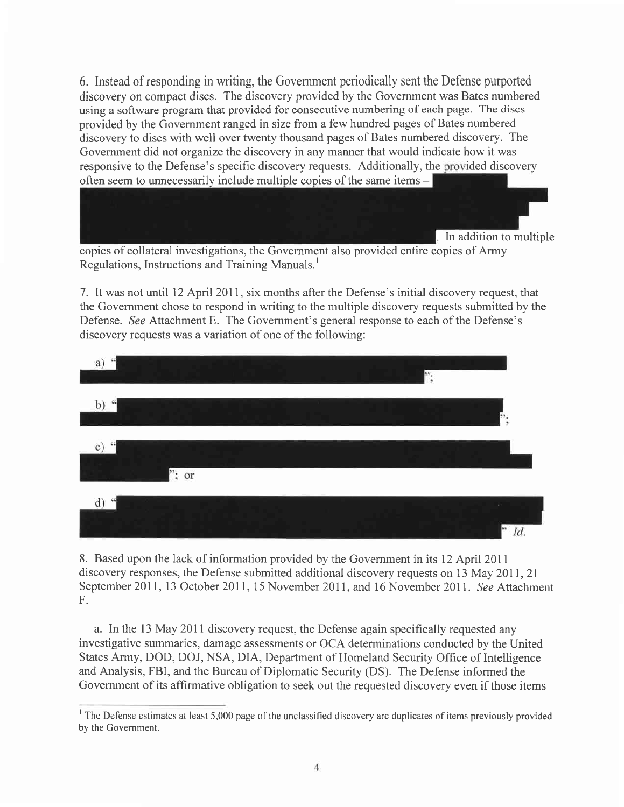6. Instead of responding in writing, the Government periodically sent the Defense purported discovery on compact discs. The discovery provided by the Government was Bates numbered using a software program that provided for consecutive numbering of each page. The discs provided by the Government ranged in size from a few hundred pages of Bates numbered discovery to discs with well over twenty thousand pages of Bates numbered discovery. The Government did not organize the discovery in any manner that would indicate how it was responsive to the Defense's specific discovery requests. Additionally, the provided discovery often seem to unnecessarily include multiple copies of the same items  $-$ 



Regulations, Instructions and Training Manuals. <sup>I</sup>

7. It was not until l2 April 2011, six months after the Defense's initial discovery request, that the Government chose to respond in writing to the multiple discovery requests submitted by the Defense. See Attachment E. The Government's general response to each of the Defense's discovery requests was a variation of one of the following:



8. Based upon the lack of information provided by the Government in its 12 April 2011 discovery responses, the Defense submitted additional discovery requests on l3 May 20ll,2l September 2011, 13 October 2011, 15 November 2011, and 16 November 2011. See Attachment F.

a. In the l3 May 2011 discovery request, the Defense again specifically requested any investigative summaries, damage assessments or OCA determinations conducted by the United States Army, DOD, DOJ, NSA, DIA, Department of Homeland Security Office of Intelligence and Analysis, FBI, and the Bureau of Diplomatic Security (DS). The Defense informed the Government of its affirmative obligation to seek out the requested discovery even if those items

<sup>&</sup>lt;sup>1</sup> The Defense estimates at least 5,000 page of the unclassified discovery are duplicates of items previously provided by the Government.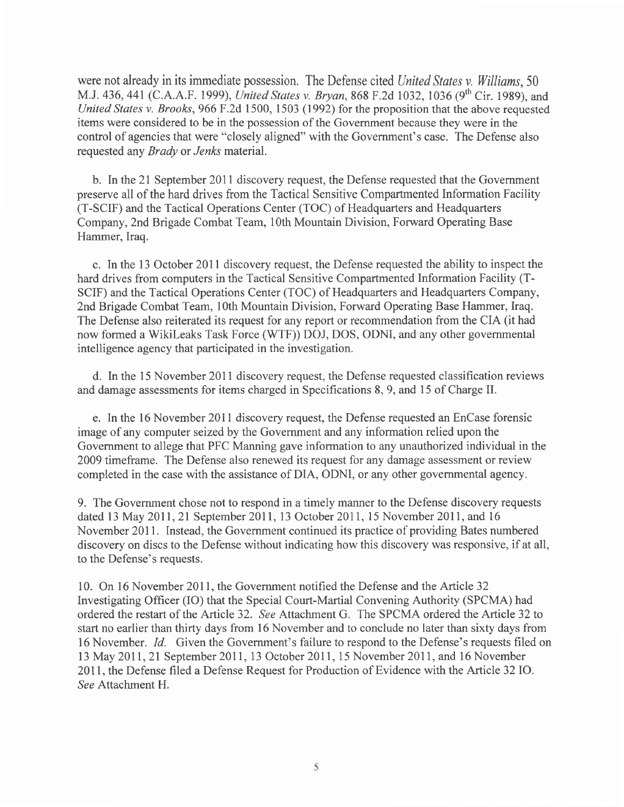were not already in its immediate possession. The Defense cited United States v. Williams, 50 M.J. 436, 441 (C.A.A.F. 1999), United States v. Bryan, 868 F.2d 1032, 1036 (9<sup>th</sup> Cir. 1989), and United States v. Brooks, 966 F.2d 1500, 1503 (1992) for the proposition that the above requested items were considered to be in the possession of the Govemment because they were in the control of agencies that were "closely aligned" with the Government's case. The Defense also requested any Brady or Jenks material.

b. In the 2l September 20ll discovery request, the Defense requested that the Government preserve all of the hard drives from the Tactical Sensitive Compartmented Information Facility (T-SCIF) and the Tactical Operations Center (TOC) of Headquarters and Headquarters Company, 2nd Brigade Combat Team, 10th Mountain Division, Forward Operating Base Hammer, Iraq.

c. In the 13 October 201I discovery request, the Defense requested the ability to inspect the hard drives from computers in the Tactical Sensitive Compartmented Information Facility (T-SCIF) and the Tactical Operations Center (TOC) of Headquarters and Headquarters Company, 2nd Brigade Combat Team, lOth Mountain Division, Forward Operating Base Hammer, Iraq. The Defense also reiterated its request for any report or recommendation from the CIA (it had now formed a Wikileaks Task Force (WTF)) DOJ, DOS, ODNI, and any other governmental intelligence agency that participated in the investigation.

d. In the l5 November 201I discovery request, the Defense requested classification reviews and damage assessments for items charged in Specifications 8, 9, and 15 of Charge II.

e. In the l6 November 201I discovery request, the Defense requested an EnCase forensic image of any computer seized by the Government and any information relied upon the Government to allege that PFC Manning gave information to any unauthorized individual in the 2009 timeframe. The Defense also renewed its request for any damage assessment or review completed in the case with the assistance of DIA, ODNI, or any other governmental agency.

9. The Government chose not to respond in a timely manner to the Defense discovery requests dated l3 May 20ll,2l September 2011, l3 October 2011, 15 November 2011, and <sup>16</sup> November 2011. Instead, the Government continued its practice of providing Bates numbered discovery on discs to the Defense without indicating how this discovery was responsive, if at all, to the Defense's requests.

10. On l6 November 201l, the Govemment notified the Defense and the Article 32 Investigating Officer (IO) that the Special Court-Martial Convening Authority (SPCMA) had ordered the restart of the Article 32. See Attachment G. The SPCMA ordered the Article 32 to start no earlier than thirty days from 16 November and to conclude no later than sixty days from 16 November. *Id.* Given the Government's failure to respond to the Defense's requests filed on l3 May 20ll,2l September 2011, 13 October 2011, 15 November 2011, and l6 November 2011, the Defense filed a Defense Request for Production of Evidence with the Article 32 IO. See Attachment H.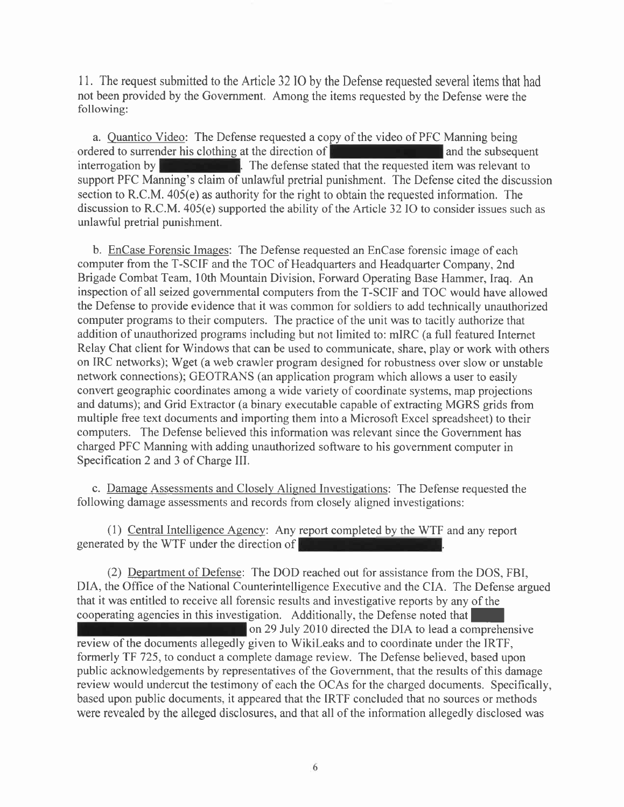<sup>I</sup>l. The request submitted to the Article 32 IO by the Defense requested several items that had not been provided by the Govemment. Among the items requested by the Defense were the following:

a. Quantico Video: The Defense requested a copy of the video of PFC Manning being ordered to surrender his clothing at the direction of  $\blacksquare$  and the subsequent interrogation by  $\blacksquare$ . The defense stated that the requested item was relevant to  $\blacksquare$ . The defense stated that the requested item was relevant to support PFC Manning's claim of unlawful pretrial punishment. The Defense cited the discussion section to R.C.M. 405(e) as authority for the right to obtain the requested information. The discussion to R.C.M. 405(e) supported the ability of the Article 32 IO to consider issues such as unlawful pretrial punishment.

b. EnCase Forensic Images: The Defense requested an EnCase forensic image of each computer from the T-SCIF and the TOC of Headquarters and Headquarter Company, 2nd Brigade Combat Team, lOth Mountain Division, Forward Operating Base Hammer, Iraq. An inspection of all seized governmental computers from the T-SCIF and TOC would have allowed the Defense to provide evidence that it was common for soldiers to add technically unauthorized computer programs to their computers. The practice of the unit was to tacitly authorize that addition of unauthorized programs including but not limited to: mIRC (a full featured Internet Relay Chat client for Windows that can be used to communicate, share, play or work with others on IRC networks); Wget (a web crawler program designed for robustness over slow or unstable network connections); GEOTRANS (an application program which allows a user to easily convert geographic coordinates among a wide variety of coordinate systems, map projections and datums); and Grid Extractor (a binary executable capable of extracting MGRS grids from multiple free text documents and importing them into a Microsoft Excel spreadsheet) to their computers. The Defense believed this information was relevant since the Government has charged PFC Manning with adding unauthorized software to his government computer in Specification 2 and 3 of Charge III.

c. Damage Assessments and Closely Aligned Investieations: The Defense requested the following damage assessments and records from closely aligned investigations:

(1) Central Intelligence Agency: Any report completed by the WTF and any report generated by the WTF under the direction of

(2) Department of Defense: The DOD reached out for assistance from the DOS, FBI, DIA, the Office of the National Counterintelligence Executive and the CIA. The Defense argued that it was entitled to receive all forensic results and investigative reports by any of the cooperating agencies in this investigation. Additionally, the Defense noted that on29 July 2010 directed the DIA to lead a comprehensive review of the documents allegedly given to Wikileaks and to coordinate under the IRTF, formerly TF 725, to conduct a complete damage review. The Defense believed, based upon public acknowledgements by representatives of the Government, that the results of this damage review would undercut the testimony of each the OCAs for the charged documents. Specifically, based upon public documents, it appeared that the IRTF concluded that no sources or methods were revealed by the alleged disclosures, and that all of the information allegedly disclosed was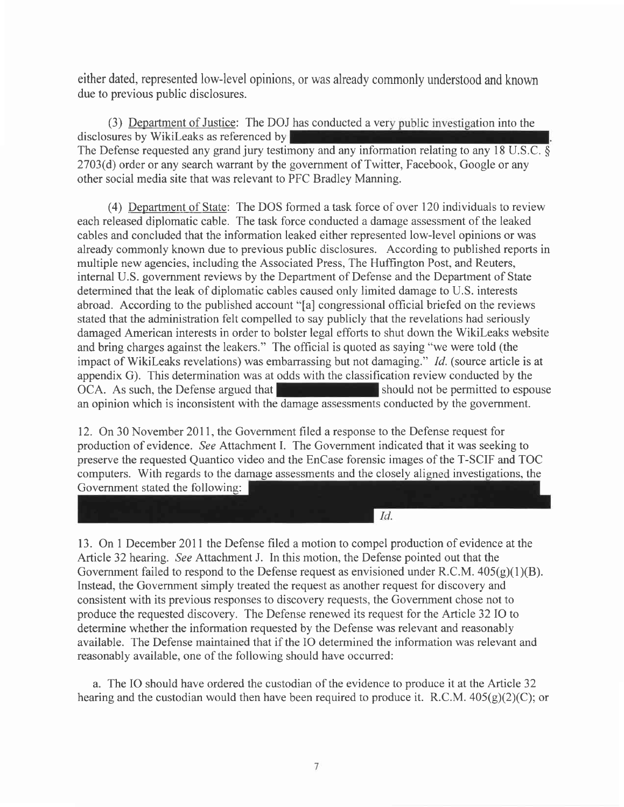either dated, represented low-level opinions, or was already commonly understood and known due to previous public disclosures.

(3) Department of Justice: The DOJ has conducted a very public investigation into the disclosures by Wikileaks as referenced by The Defense requested any grand jury testimony and any information relating to any 18 U.S.C.  $\delta$ 2703(d) order or any search warrant by the government of Twitter, Facebook, Google or any other social media site that was relevant to PFC Bradley Manning.

(4) Department of State: The DOS formed a task force of over 120 individuals to review each released diplomatic cable. The task force conducted a damage assessment of the leaked cables and concluded that the information leaked either represented low-level opinions or was already commonly known due to previous public disclosures. According to published reports in multiple new agencies, including the Associated Press, The Huffington Post, and Reuters, internal U.S. govemment reviews by the Department of Defense and the Department of State determined that the leak of diplomatic cables caused only limited damage to U.S. interests abroad. According to the published account "[a] congressional official briefed on the reviews stated that the administration felt compelled to say publicly that the revelations had seriously damaged American interests in order to bolster legal efforts to shut down the Wikileaks website and bring charges against the leakers." The official is quoted as saying "we were told (the impact of WikiLeaks revelations) was embarrassing but not damaging." *Id.* (source article is at appendix G). This determination was at odds with the classification review conducted by the OCA. As such, the Defense argued that should not be permitted to espouse an opinion which is inconsistent with the damage assessments conducted by the government.

12. On 30 November 2011, the Government filed a response to the Defense request for production of evidence. See Attachment I. The Government indicated that it was seeking to preserve the requested Quantico video and the EnCase forensic images of the T-SCIF and TOC computers. With regards to the damage assessments and the closely aligned investigations, the Government stated the following:

 $Id.$ 

13. On 1 December 20ll the Defense filed a motion to compel production of evidence at the Article 32 hearing. See Attachment J. In this motion, the Defense pointed out that the Government failed to respond to the Defense request as envisioned under R.C.M.  $405(g)(1)(B)$ . Instead, the Government simply treated the request as another request for discovery and consistent with its previous responses to discovery requests, the Government chose not to produce the requested discovery. The Defense renewed its request for the Article 32 IO to determine whether the information requested by the Defense was relevant and reasonably available. The Defense maintained that if the IO determined the information was relevant and reasonably available, one of the following should have occurred:

a. The IO should have ordered the custodian of the evidence to produce it at the Article 32 hearing and the custodian would then have been required to produce it. R.C.M.  $405(g)(2)(C)$ ; or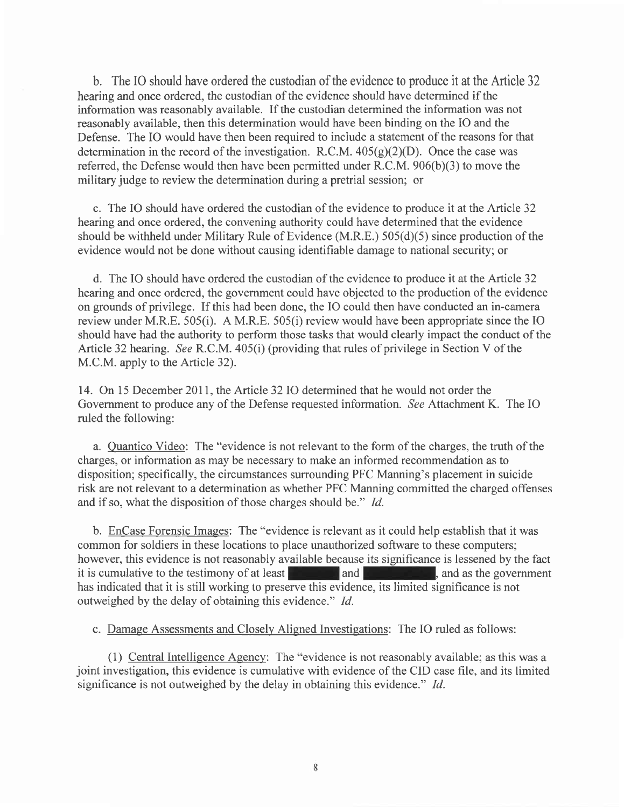b. The IO should have ordered the custodian of the evidence to produce it at the Article <sup>32</sup> hearing and once ordered, the custodian of the evidence should have determined if the information was reasonably available. If the custodian determined the information was not reasonably available, then this determination would have been binding on the IO and the Defense. The IO would have then been required to include a statement of the reasons for that determination in the record of the investigation. R.C.M.  $405(g)(2)(D)$ . Once the case was referred, the Defense would then have been permitted under R.C.M.  $906(b)(3)$  to move the military judge to review the determination during a pretrial session; or

c. The IO should have ordered the custodian of the evidence to produce it at the Article 32 hearing and once ordered, the convening authority could have determined that the evidence should be withheld under Military Rule of Evidence  $(M.R.E.) 505(d)(5)$  since production of the evidence would not be done without causing identifiable damage to national security; or

d. The IO should have ordered the custodian of the evidence to produce it at the Article 32 hearing and once ordered, the government could have objected to the production of the evidence on grounds of privilege. If this had been done, the IO could then have conducted an in-camera review under M.R.E. 505(i). A M.R.E. 505(i) review would have been appropriate since the IO should have had the authority to perform those tasks that would clearly impact the conduct of the Article 32 hearing. See R.C.M. 405(i) (providing that rules of privilege in Section V of the M.C.M. apply to the Article 32).

14. On 15 December 2011, the Article 32 IO determined that he would not order the Government to produce any of the Defense requested information. See Attachment K. The IO ruled the following:

a. Quantico Video: The "evidence is not relevant to the form of the charges, the truth of the charges, or information as may be necessary to make an informed recommendation as to disposition; specifically, the circumstances surrounding PFC Manning's placement in suicide risk are not relevant to a determination as whether PFC Manning committed the charged offenses and if so, what the disposition of those charges should be." Id.

b. EnCase Forensic Images: The "evidence is relevant as it could help establish that it was common for soldiers in these locations to place unauthorized software to these computers; however, this evidence is not reasonably available because its significance is lessened by the fact it is cumulative to the testimony of at least  $\Box$  and  $\Box$  and  $\Box$  , and as the government has indicated that it is still working to preserve this evidence, its limited significance is not outweighed by the delay of obtaining this evidence." 1d.

c. Damage Assessments and Closely Alisned Investisations: The IO ruled as follows:

(1) Central Intelligence Agency: The "evidence is not reasonably available; as this was <sup>a</sup> joint investigation, this evidence is cumulative with evidence of the CID case file, and its limited significance is not outweighed by the delay in obtaining this evidence." Id.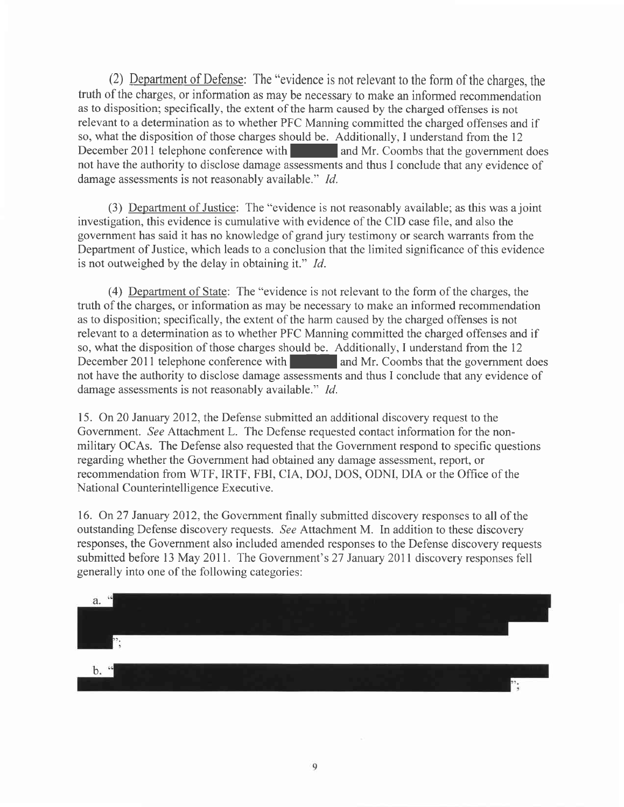(2) Department of Defense: The "evidence is not relevant to the form of the charges, the truth of the charges, or information as may be necessary to make an informed recommendation as to disposition; specifically, the extent of the harm caused by the charged offenses is not relevant to a determination as to whether PFC Manning committed the charged offenses and if so, what the disposition of those charges should be. Additionally, I understand from the 12 December 2011 telephone conference with and Mr. Coombs that the government does not have the authority to disclose damage assessments and thus I conclude that any evidence of damage assessments is not reasonably available." *Id.* 

(3) Department of Justice: The "evidence is not reasonably available; as this was a joint investigation, this evidence is cumulative with evidence of the CID case file, and also the government has said it has no knowledge of grand jury testimony or search warrants from the Department of Justice, which leads to a conclusion that the limited significance of this evidence is not outweighed by the delay in obtaining it." Id.

(4) Department of State: The "evidence is not relevant to the form of the charges, the truth of the charges, or information as may be necessary to make an informed recommendation as to disposition; specifically, the extent of the harm caused by the charged offenses is not relevant to a determination as to whether PFC Manning committed the charged offenses and if so, what the disposition of those charges should be. Additionally, I understand from the 12 December 2011 telephone conference with and Mr. Coombs that the government does not have the authority to disclose damage assessments and thus I conclude that any evidence of damage assessments is not reasonably available." Id.

15. On 20 January 2012, the Defense submitted an additional discovery request to the Government. See Attachment L. The Defense requested contact information for the nonmilitary OCAs. The Defense also requested that the Government respond to specific questions regarding whether the Govemment had obtained any damage assessment, report, or recommendation from WTF, IRTF, FBI, CIA, DOJ, DOS, ODNI, DIA or the Office of the National Counterintelligence Executive.

16. On 27 January 2012, the Government finally submitted discovery responses to all of the outstanding Defense discovery requests. See Attachment M. In addition to these discovery responses, the Government also included amended responses to the Defense discovery requests submitted before l3 May 2011. The Government's27 January 2011 discovery responses fell generally into one of the following categories:

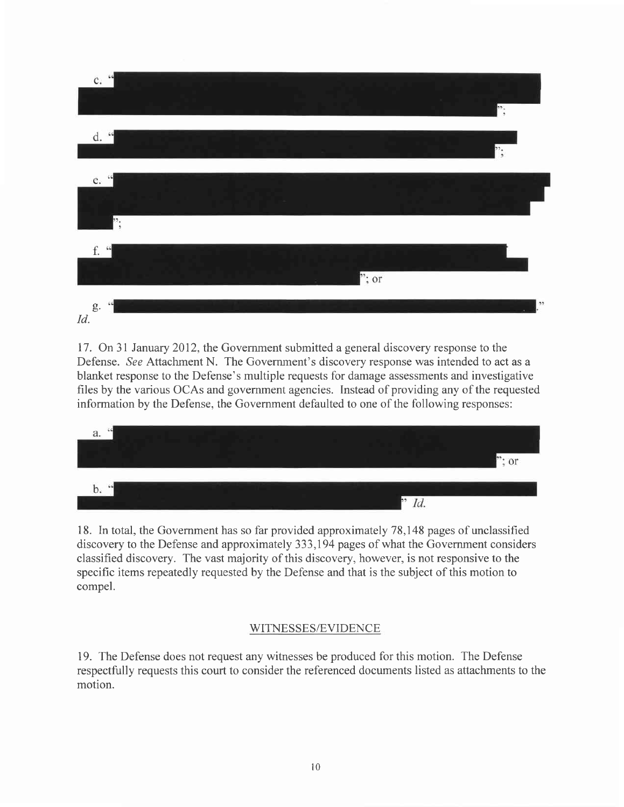

17. On 31 January 2012, the Government submitted a general discovery response to the Defense. See Attachment N. The Government's discovery response was intended to act as <sup>a</sup> blanket response to the Defense's multiple requests for damage assessments and investigative files by the various OCAs and government agencies. Instead of providing any of the requested information by the Defense, the Government defaulted to one of the following responses:



18. In total, the Govemment has so far provided approximately 78,148 pages of unclassified discovery to the Defense and approximately 333,194 pages of what the Government considers classified discovery. The vast majority of this discovery, however, is not responsive to the specific items repeatedly requested by the Defense and that is the subject of this motion to compel.

## WITNESSES/EVIDENCE

19. The Defense does not request any witnesses be produced for this motion. The Defense respectfully requests this court to consider the referenced documents listed as attachments to the motion.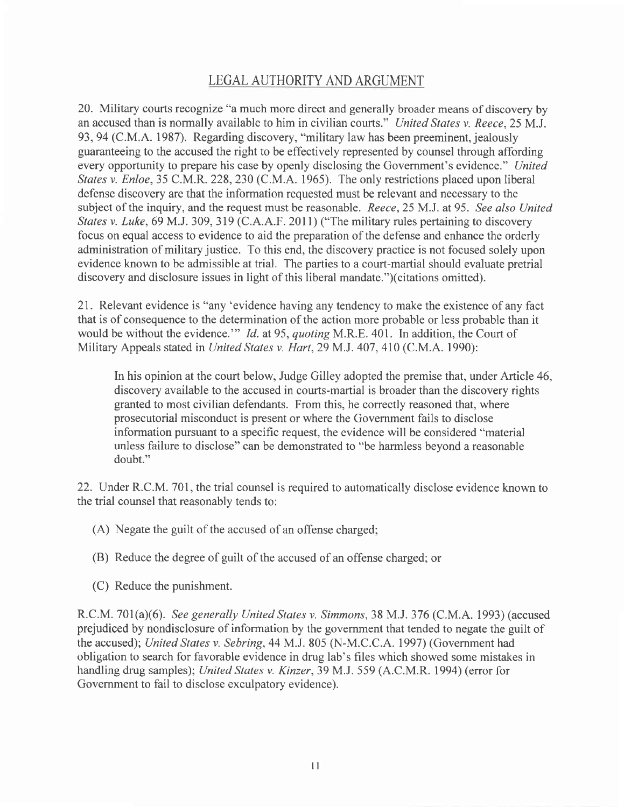# LEGAL AUTHORITY AND ARGUMENT

20. Military courts recognize "a much more direct and generally broader means of discovery by an accused than is normally available to him in civilian courts." United States v. Reece,25 M.J. 93,94 (C.M.A. 1987). Regarding discovery, "military law has been preeminent, jealously guaranteeing to the accused the right to be effectively represented by counsel through affording every opportunity to prepare his case by openly disclosing the Government's evidence." United States v. Enloe,35 C.M.R. 228,230 (C.M.A. 1965). The only restrictions placed upon liberal defense discovery are that the information requested must be relevant and necessary to the subject of the inquiry, and the request must be reasonable. Reece, 25 M.J. at 95. See also United States v. Luke, 69 M.J. 309, 319 (C.A.A.F. 2011) ("The military rules pertaining to discovery focus on equal access to evidence to aid the preparation of the defense and enhance the orderly administration of military justice. To this end, the discovery practice is not focused solely upon evidence known to be admissible at trial. The parties to a court-martial should evaluate pretrial discovery and disclosure issues in light of this liberal mandate.")(citations omitted).

21. Relevant evidence is "any'evidence having any tendency to make the existence of any fact that is of consequence to the determination of the action more probable or less probable than it would be without the evidence." Id. at 95, quoting M.R.E. 401. In addition, the Court of Military Appeals stated in United States v. Hart, 29 M.J. 407, 410 (C.M.A. 1990):

In his opinion at the court below, Judge Gilley adopted the premise that, under Article 46, discovery available to the accused in courts-martial is broader than the discovery rights granted to most civilian defendants. From this, he correctly reasoned that, where prosecutorial misconduct is present or where the Government fails to disclose information pursuant to a specific request, the evidence will be considered "material unless failure to disclose" can be demonstrated to "be harmless beyond a reasonable doubt."

22. Under R.C.M. 701, the trial counsel is required to automatically disclose evidence known to the trial counsel that reasonably tends to:

- (A) Negate the guilt of the accused of an offense charged;
- (B) Reduce the degree of guilt of the accused of an offense charged; or
- (C) Reduce the punishment.

R.C.M. 701(a)(6). See generally United Srates v. Simmons, 38 M.J. 376 (C.M.A. 1993) (accused prejudiced by nondisclosure of information by the government that tended to negate the guilt of the accused); United States v. Sebring, 44 MJ. 805 (N-M.C .C.A. 1997) (Government had obligation to search for favorable evidence in drug lab's files which showed some mistakes in handling drug samples); United States v. Kinzer, 39 M.J. 559 (A.C.M.R. 1994) (error for Govemment to fail to disclose exculpatory evidence).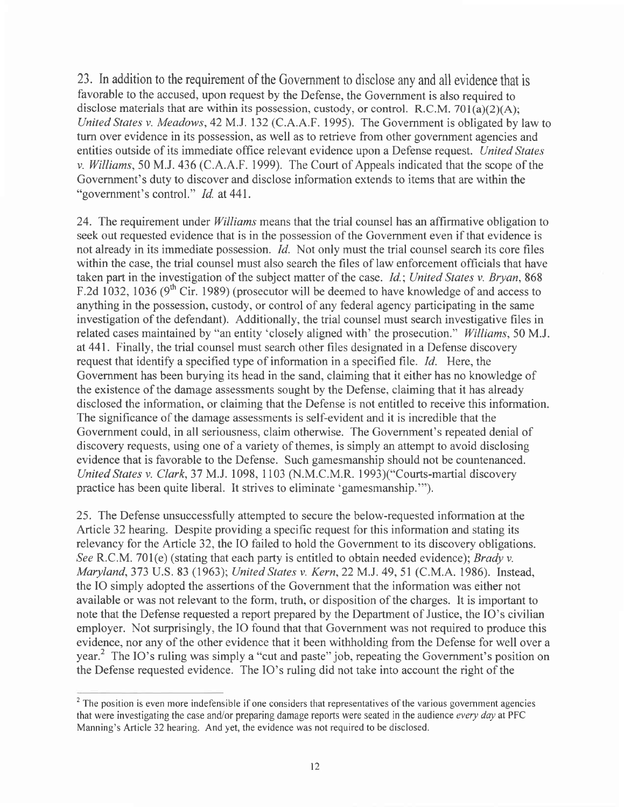23. Inaddition to the requirement of the Government to disclose any and all evidence that is favorable to the accused, upon request by the Defense, the Government is also required to disclose materials that are within its possession, custody, or control. R.C.M. 701(a)(2)(A); United States v. Meadows, 42 M.J. 132 (C.A.A.F. 1995). The Government is obligated by law to turn over evidence in its possession, as well as to retrieve from other government agencies and entities outside of its immediate office relevant evidence upon a Defense request. United States v. Williams, 50 M.J. 436 (C.A.A.F. 1999). The Court of Appeals indicated that the scope of the Government's duty to discover and disclose information extends to items that are within the "government's control." Id. at 441.

24. The requirement under *Williams* means that the trial counsel has an affirmative obligation to seek out requested evidence that is in the possession of the Govemment even if that evidence is not already in its immediate possession. *Id.* Not only must the trial counsel search its core files within the case, the trial counsel must also search the files of law enforcement officials that have taken part in the investigation of the subject matter of the case. Id.; United States v. Bryan,868 F.2d 1032, 1036 ( $9<sup>th</sup>$  Cir. 1989) (prosecutor will be deemed to have knowledge of and access to anything in the possession, custody, or control of any federal agency participating in the same investigation of the defendant). Additionally, the trial counsel must search investigative files in related cases maintained by "an entity 'closely aligned with' the prosecution." Williams, 50 M.J. at 441. Finally, the trial counsel must search other files designated in a Defense discovery request that identify a specified type of information in a specified file.  $Id$ . Here, the Government has been burying its head in the sand, claiming that it either has no knowledge of the existence of the damage assessments sought by the Defense, claiming that it has already disclosed the information, or claiming that the Defense is not entitled to receive this information. The significance of the damage assessments is self-evident and it is incredible that the Government could, in all seriousness, claim otherwise. The Government's repeated denial of discovery requests, using one of a variety of themes, is simply an attempt to avoid disclosing evidence that is favorable to the Defense. Such gamesmanship should not be countenanced. United States v. Clark,37 M.J.1098, I103 (N.M.C.M.R. 1993)("Courts-martial discovery practice has been quite liberal. It strives to eliminate 'gamesmanship."').

25. The Defense unsuccessfully attempted to secure the below-requested information at the Article 32 hearing. Despite providing a specific request for this information and stating its relevancy for the Article 32, the IO failed to hold the Government to its discovery obligations. See R.C.M. 701(e) (stating that each party is entitled to obtain needed evidence); *Brady v.* Maryland,373 U.S. 83 (1963); United States v. Kern,22MJ.49,5I (C.M.A. 1986). Instead, the IO simply adopted the assertions of the Government that the information was either not available or was not relevant to the form, truth, or disposition of the charges. It is important to note that the Defense requested a report prepared by the Department of Justice, the IO's civilian employer. Not surprisingly, the IO found that that Government was not required to produce this evidence, nor any of the other evidence that it been withholding from the Defense for well over a year.<sup>2</sup> The IO's ruling was simply a "cut and paste" job, repeating the Government's position on the Defense requested evidence. The IO's ruling did not take into account the right of the

<sup>&</sup>lt;sup>2</sup> The position is even more indefensible if one considers that representatives of the various government agencies that were investigating the case and/or preparing damage reports were seated in the audience every day at PFC Manning's Article 32 hearing. And yet, the evidence was not required to be disclosed.